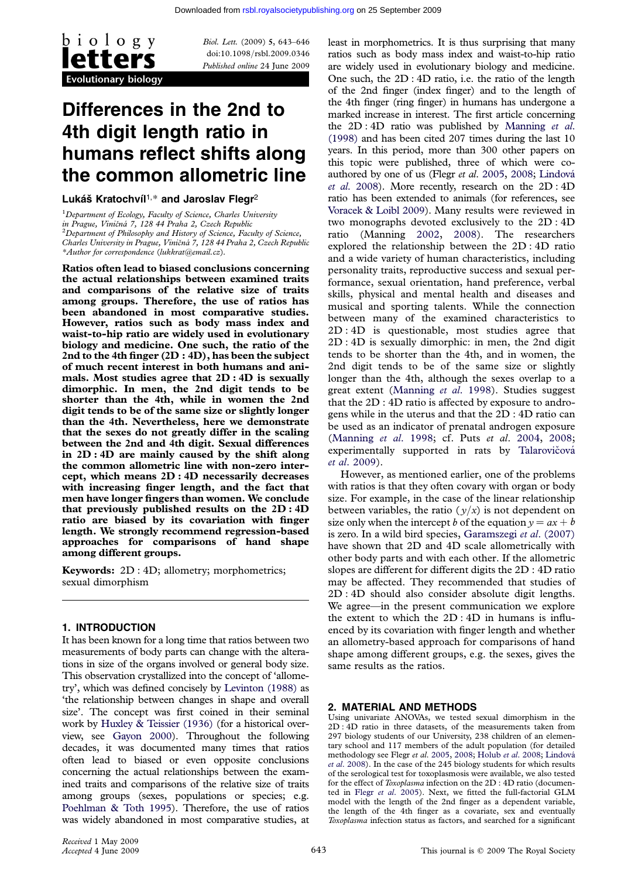

Biol. Lett. (2009) 5, 643–646 doi:10.1098/rsbl.2009.0346 Published online 24 June 2009

# Differences in the 2nd to 4th digit length ratio in humans reflect shifts along the common allometric line

Lukáš Kratochvíl<sup>1,\*</sup> and Jaroslav Flegr<sup>2</sup>

<sup>1</sup>Department of Ecology, Faculty of Science, Charles University in Prague, Viničná 7, 128 44 Praha 2, Czech Republic<br><sup>2</sup>Department of Philosophy and History of Science, Faculty of Science, Charles University in Prague, Viničná 7, 128 44 Praha 2, Czech Republic \*Author for correspondence ([lukkrat@email.cz](mailto:lukkrat@email.cz)).

Ratios often lead to biased conclusions concerning the actual relationships between examined traits and comparisons of the relative size of traits among groups. Therefore, the use of ratios has been abandoned in most comparative studies. However, ratios such as body mass index and waist-to-hip ratio are widely used in evolutionary biology and medicine. One such, the ratio of the 2nd to the 4th finger  $(2D:4D)$ , has been the subject of much recent interest in both humans and animals. Most studies agree that 2D : 4D is sexually dimorphic. In men, the 2nd digit tends to be shorter than the 4th, while in women the 2nd digit tends to be of the same size or slightly longer than the 4th. Nevertheless, here we demonstrate that the sexes do not greatly differ in the scaling between the 2nd and 4th digit. Sexual differences in 2D : 4D are mainly caused by the shift along the common allometric line with non-zero intercept, which means 2D : 4D necessarily decreases with increasing finger length, and the fact that men have longer fingers than women. We conclude that previously published results on the 2D : 4D ratio are biased by its covariation with finger length. We strongly recommend regression-based approaches for comparisons of hand shape among different groups.

Keywords: 2D : 4D; allometry; morphometrics; sexual dimorphism

### 1. INTRODUCTION

It has been known for a long time that ratios between two measurements of body parts can change with the alterations in size of the organs involved or general body size. This observation crystallized into the concept of 'allometry', which was defined concisely by [Levinton \(1988\)](#page-2-0) as 'the relationship between changes in shape and overall size'. The concept was first coined in their seminal work by [Huxley & Teissier \(1936\)](#page-2-0) (for a historical overview, see [Gayon 2000\)](#page-2-0). Throughout the following decades, it was documented many times that ratios often lead to biased or even opposite conclusions concerning the actual relationships between the examined traits and comparisons of the relative size of traits among groups (sexes, populations or species; e.g. [Poehlman & Toth 1995](#page-2-0)). Therefore, the use of ratios was widely abandoned in most comparative studies, at least in morphometrics. It is thus surprising that many ratios such as body mass index and waist-to-hip ratio are widely used in evolutionary biology and medicine. One such, the 2D : 4D ratio, i.e. the ratio of the length of the 2nd finger (index finger) and to the length of the 4th finger (ring finger) in humans has undergone a marked increase in interest. The first article concerning the  $2D:4D$  ratio was published by [Manning](#page-2-0) et al. [\(1998\)](#page-2-0) and has been cited 207 times during the last 10 years. In this period, more than 300 other papers on this topic were published, three of which were co-authored by one of us (Flegr et al. [2005,](#page-2-0) [2008](#page-2-0); Lindová et al[. 2008\)](#page-2-0). More recently, research on the 2D : 4D ratio has been extended to animals (for references, see [Voracek & Loibl 2009](#page-3-0)). Many results were reviewed in two monographs devoted exclusively to the 2D : 4D ratio (Manning [2002,](#page-2-0) [2008](#page-2-0)). The researchers explored the relationship between the 2D : 4D ratio and a wide variety of human characteristics, including personality traits, reproductive success and sexual performance, sexual orientation, hand preference, verbal skills, physical and mental health and diseases and musical and sporting talents. While the connection between many of the examined characteristics to 2D : 4D is questionable, most studies agree that 2D : 4D is sexually dimorphic: in men, the 2nd digit tends to be shorter than the 4th, and in women, the 2nd digit tends to be of the same size or slightly longer than the 4th, although the sexes overlap to a great extent ([Manning](#page-2-0) et al. 1998). Studies suggest that the 2D : 4D ratio is affected by exposure to androgens while in the uterus and that the 2D : 4D ratio can be used as an indicator of prenatal androgen exposure [\(Manning](#page-2-0) et al. 1998; cf. Puts et al. [2004,](#page-3-0) [2008;](#page-3-0) experimentally supported in rats by Talarovičová et al[. 2009\)](#page-3-0).

However, as mentioned earlier, one of the problems with ratios is that they often covary with organ or body size. For example, in the case of the linear relationship between variables, the ratio  $(y/x)$  is not dependent on size only when the intercept b of the equation  $y = ax + b$ is zero. In a wild bird species, [Garamszegi](#page-2-0) et al. (2007) have shown that 2D and 4D scale allometrically with other body parts and with each other. If the allometric slopes are different for different digits the 2D : 4D ratio may be affected. They recommended that studies of 2D : 4D should also consider absolute digit lengths. We agree—in the present communication we explore the extent to which the 2D : 4D in humans is influenced by its covariation with finger length and whether an allometry-based approach for comparisons of hand shape among different groups, e.g. the sexes, gives the same results as the ratios.

### 2. MATERIAL AND METHODS

Using univariate ANOVAs, we tested sexual dimorphism in the 2D : 4D ratio in three datasets, of the measurements taken from 297 biology students of our University, 238 children of an elementary school and 117 members of the adult population (for detailed methodology see Flegr et al. [2005](#page-2-0), [2008](#page-2-0); Holub et al[. 2008;](#page-2-0) Lindová et al[. 2008](#page-2-0)). In the case of the 245 biology students for which results of the serological test for toxoplasmosis were available, we also tested for the effect of Toxoplasma infection on the 2D : 4D ratio (documented in Flegr et al[. 2005\)](#page-2-0). Next, we fitted the full-factorial GLM model with the length of the 2nd finger as a dependent variable, the length of the 4th finger as a covariate, sex and eventually Toxoplasma infection status as factors, and searched for a significant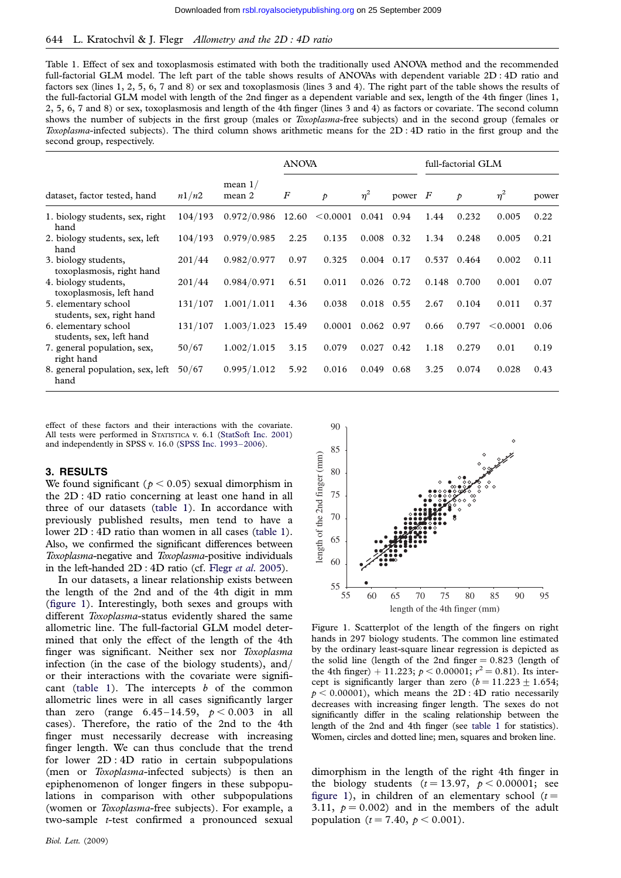## <span id="page-1-0"></span>644 L. Kratochvíl & J. Flegr Allometry and the 2D : 4D ratio

Table 1. Effect of sex and toxoplasmosis estimated with both the traditionally used ANOVA method and the recommended full-factorial GLM model. The left part of the table shows results of ANOVAs with dependent variable 2D : 4D ratio and factors sex (lines 1, 2, 5, 6, 7 and 8) or sex and toxoplasmosis (lines 3 and 4). The right part of the table shows the results of the full-factorial GLM model with length of the 2nd finger as a dependent variable and sex, length of the 4th finger (lines 1, 2, 5, 6, 7 and 8) or sex, toxoplasmosis and length of the 4th finger (lines 3 and 4) as factors or covariate. The second column shows the number of subjects in the first group (males or *Toxoplasma*-free subjects) and in the second group (females or Toxoplasma-infected subjects). The third column shows arithmetic means for the 2D : 4D ratio in the first group and the second group, respectively.

|                                                   |         |                     | <b>ANOVA</b>     |               |              |           | full-factorial GLM |               |          |       |
|---------------------------------------------------|---------|---------------------|------------------|---------------|--------------|-----------|--------------------|---------------|----------|-------|
| dataset, factor tested, hand                      | n1/n2   | mean $1/$<br>mean 2 | $\boldsymbol{F}$ | $\mathcal{P}$ | $\eta^2$     | power $F$ |                    | $\mathcal{P}$ | $\eta^2$ | power |
| 1. biology students, sex, right<br>hand           | 104/193 | 0.972/0.986         | 12.60            | < 0.0001      | 0.041        | 0.94      | 1.44               | 0.232         | 0.005    | 0.22  |
| 2. biology students, sex, left<br>hand            | 104/193 | 0.979/0.985         | 2.25             | 0.135         | 0.008        | 0.32      | 1.34               | 0.248         | 0.005    | 0.21  |
| 3. biology students,<br>toxoplasmosis, right hand | 201/44  | 0.982/0.977         | 0.97             | 0.325         | $0.004$ 0.17 |           | 0.537              | 0.464         | 0.002    | 0.11  |
| 4. biology students,<br>toxoplasmosis, left hand  | 201/44  | 0.984/0.971         | 6.51             | 0.011         | 0.026        | 0.72      | 0.148              | 0.700         | 0.001    | 0.07  |
| 5. elementary school<br>students, sex, right hand | 131/107 | 1.001/1.011         | 4.36             | 0.038         | $0.018$ 0.55 |           | 2.67               | 0.104         | 0.011    | 0.37  |
| 6. elementary school<br>students, sex, left hand  | 131/107 | 1.003/1.023         | 15.49            | 0.0001        | 0.062        | 0.97      | 0.66               | 0.797         | < 0.0001 | 0.06  |
| 7. general population, sex,<br>right hand         | 50/67   | 1.002/1.015         | 3.15             | 0.079         | 0.027        | 0.42      | 1.18               | 0.279         | 0.01     | 0.19  |
| 8. general population, sex, left<br>hand          | 50/67   | 0.995/1.012         | 5.92             | 0.016         | 0.049        | 0.68      | 3.25               | 0.074         | 0.028    | 0.43  |

effect of these factors and their interactions with the covariate. All tests were performed in STATISTICA v. 6.1 ([StatSoft Inc. 2001\)](#page-3-0) and independently in SPSS v. 16.0 [\(SPSS Inc. 1993–2006](#page-3-0)).

### 3. RESULTS

We found significant ( $p < 0.05$ ) sexual dimorphism in the 2D : 4D ratio concerning at least one hand in all three of our datasets (table 1). In accordance with previously published results, men tend to have a lower 2D : 4D ratio than women in all cases (table 1). Also, we confirmed the significant differences between Toxoplasma-negative and Toxoplasma-positive individuals in the left-handed 2D : 4D ratio (cf. Flegr et al[. 2005](#page-2-0)).

In our datasets, a linear relationship exists between the length of the 2nd and of the 4th digit in mm (figure 1). Interestingly, both sexes and groups with different Toxoplasma-status evidently shared the same allometric line. The full-factorial GLM model determined that only the effect of the length of the 4th finger was significant. Neither sex nor Toxoplasma infection (in the case of the biology students), and/ or their interactions with the covariate were significant (table 1). The intercepts  $b$  of the common allometric lines were in all cases significantly larger than zero (range  $6.45-14.59$ ,  $p < 0.003$  in all cases). Therefore, the ratio of the 2nd to the 4th finger must necessarily decrease with increasing finger length. We can thus conclude that the trend for lower 2D : 4D ratio in certain subpopulations (men or Toxoplasma-infected subjects) is then an epiphenomenon of longer fingers in these subpopulations in comparison with other subpopulations (women or Toxoplasma-free subjects). For example, a two-sample t-test confirmed a pronounced sexual

Biol. Lett. (2009)



Figure 1. Scatterplot of the length of the fingers on right hands in 297 biology students. The common line estimated by the ordinary least-square linear regression is depicted as the solid line (length of the 2nd finger  $= 0.823$  (length of the 4th finger) + 11.223;  $p < 0.00001$ ;  $r^2 = 0.81$ ). Its intercept is significantly larger than zero  $(b = 11.223 + 1.654;$  $p < 0.00001$ , which means the 2D : 4D ratio necessarily decreases with increasing finger length. The sexes do not significantly differ in the scaling relationship between the length of the 2nd and 4th finger (see table 1 for statistics). Women, circles and dotted line; men, squares and broken line.

dimorphism in the length of the right 4th finger in the biology students  $(t = 13.97, p < 0.00001;$  see figure 1), in children of an elementary school  $(t =$ 3.11,  $p = 0.002$  and in the members of the adult population ( $t = 7.40, p < 0.001$ ).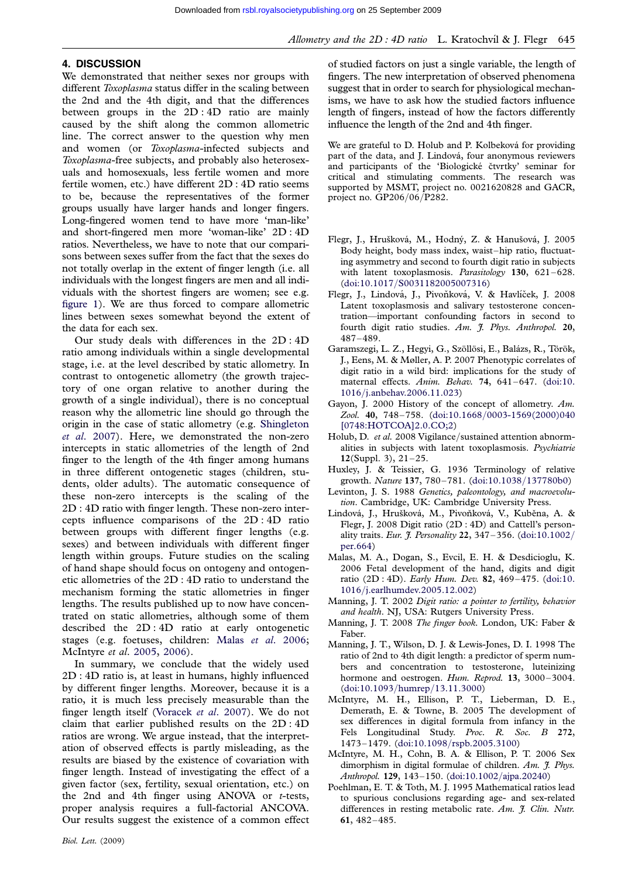## <span id="page-2-0"></span>4. DISCUSSION

We demonstrated that neither sexes nor groups with different Toxoplasma status differ in the scaling between the 2nd and the 4th digit, and that the differences between groups in the 2D : 4D ratio are mainly caused by the shift along the common allometric line. The correct answer to the question why men and women (or Toxoplasma-infected subjects and Toxoplasma-free subjects, and probably also heterosexuals and homosexuals, less fertile women and more fertile women, etc.) have different 2D : 4D ratio seems to be, because the representatives of the former groups usually have larger hands and longer fingers. Long-fingered women tend to have more 'man-like' and short-fingered men more 'woman-like' 2D : 4D ratios. Nevertheless, we have to note that our comparisons between sexes suffer from the fact that the sexes do not totally overlap in the extent of finger length (i.e. all individuals with the longest fingers are men and all individuals with the shortest fingers are women; see e.g. [figure 1](#page-1-0)). We are thus forced to compare allometric lines between sexes somewhat beyond the extent of the data for each sex.

Our study deals with differences in the 2D : 4D ratio among individuals within a single developmental stage, i.e. at the level described by static allometry. In contrast to ontogenetic allometry (the growth trajectory of one organ relative to another during the growth of a single individual), there is no conceptual reason why the allometric line should go through the origin in the case of static allometry (e.g. [Shingleton](#page-3-0) et al[. 2007](#page-3-0)). Here, we demonstrated the non-zero intercepts in static allometries of the length of 2nd finger to the length of the 4th finger among humans in three different ontogenetic stages (children, students, older adults). The automatic consequence of these non-zero intercepts is the scaling of the 2D : 4D ratio with finger length. These non-zero intercepts influence comparisons of the 2D : 4D ratio between groups with different finger lengths (e.g. sexes) and between individuals with different finger length within groups. Future studies on the scaling of hand shape should focus on ontogeny and ontogenetic allometries of the 2D : 4D ratio to understand the mechanism forming the static allometries in finger lengths. The results published up to now have concentrated on static allometries, although some of them described the 2D : 4D ratio at early ontogenetic stages (e.g. foetuses, children: Malas et al. 2006; McIntyre et al. 2005, 2006).

In summary, we conclude that the widely used 2D : 4D ratio is, at least in humans, highly influenced by different finger lengths. Moreover, because it is a ratio, it is much less precisely measurable than the finger length itself ([Voracek](#page-3-0) et al. 2007). We do not claim that earlier published results on the 2D : 4D ratios are wrong. We argue instead, that the interpretation of observed effects is partly misleading, as the results are biased by the existence of covariation with finger length. Instead of investigating the effect of a given factor (sex, fertility, sexual orientation, etc.) on the 2nd and 4th finger using ANOVA or  $t$ -tests, proper analysis requires a full-factorial ANCOVA. Our results suggest the existence of a common effect We are grateful to D. Holub and P. Kolbeková for providing part of the data, and J. Lindová, four anonymous reviewers and participants of the 'Biologické čtvrtky' seminar for critical and stimulating comments. The research was supported by MSMT, project no. 0021620828 and GACR, project no. GP206/06/P282.

- Flegr, J., Hrušková, M., Hodný, Z. & Hanušová, J. 2005 Body height, body mass index, waist–hip ratio, fluctuating asymmetry and second to fourth digit ratio in subjects with latent toxoplasmosis. Parasitology 130, 621–628. (doi:10.1017/[S0031182005007316\)](http://dx.doi.org/doi:10.1017/S0031182005007316)
- Flegr, J., Lindová, J., Pivoňková, V. & Havlíček, J. 2008 Latent toxoplasmosis and salivary testosterone concentration—important confounding factors in second to fourth digit ratio studies. Am. J. Phys. Anthropol. 20, 487–489.
- Garamszegi, L. Z., Hegyi, G., Szöllösi, E., Balázs, R., Török, J., Eens, M. & Møller, A. P. 2007 Phenotypic correlates of digit ratio in a wild bird: implications for the study of maternal effects. Anim. Behav. 74, 641–647. ([doi:10.](http://dx.doi.org/doi:10.1016/j.anbehav.2006.11.023) 1016/[j.anbehav.2006.11.023\)](http://dx.doi.org/doi:10.1016/j.anbehav.2006.11.023)
- Gayon, J. 2000 History of the concept of allometry. Am. Zool. 40, 748-758. (doi:10.1668/[0003-1569\(2000\)040](http://dx.doi.org/doi:10.1668/0003-1569(2000)040[0748:HOTCOA]2.0.CO;2) [\[0748:HOTCOA\]2.0.CO;2\)](http://dx.doi.org/doi:10.1668/0003-1569(2000)040[0748:HOTCOA]2.0.CO;2)
- Holub, D. et al. 2008 Vigilance/sustained attention abnormalities in subjects with latent toxoplasmosis. Psychiatrie 12(Suppl. 3), 21–25.
- Huxley, J. & Teissier, G. 1936 Terminology of relative growth. Nature 137, 780–781. ([doi:10.1038](http://dx.doi.org/doi:10.1038/137780b0)/137780b0)
- Levinton, J. S. 1988 Genetics, paleontology, and macroevolution. Cambridge, UK: Cambridge University Press.
- Lindová, J., Hrušková, M., Pivoňková, V., Kuběna, A. & Flegr, J. 2008 Digit ratio (2D : 4D) and Cattell's personality traits. Eur. J. Personality 22, 347–356. ([doi:10.1002](http://dx.doi.org/doi:10.1002/per.664)/ [per.664\)](http://dx.doi.org/doi:10.1002/per.664)
- Malas, M. A., Dogan, S., Evcil, E. H. & Desdicioglu, K. 2006 Fetal development of the hand, digits and digit ratio (2D : 4D). Early Hum. Dev. 82, 469–475. ([doi:10.](http://dx.doi.org/doi:10.1016/j.earlhumdev.2005.12.002) 1016/[j.earlhumdev.2005.12.002\)](http://dx.doi.org/doi:10.1016/j.earlhumdev.2005.12.002)
- Manning, J. T. 2002 Digit ratio: a pointer to fertility, behavior and health. NJ, USA: Rutgers University Press.
- Manning, J. T. 2008 The finger book. London, UK: Faber & Faber.
- Manning, J. T., Wilson, D. J. & Lewis-Jones, D. I. 1998 The ratio of 2nd to 4th digit length: a predictor of sperm numbers and concentration to testosterone, luteinizing hormone and oestrogen. Hum. Reprod. 13, 3000-3004. ([doi:10.1093](http://dx.doi.org/doi:10.1093/humrep/13.11.3000)/humrep/13.11.3000)
- McIntyre, M. H., Ellison, P. T., Lieberman, D. E., Demerath, E. & Towne, B. 2005 The development of sex differences in digital formula from infancy in the Fels Longitudinal Study. Proc. R. Soc. B 272, 1473–1479. (doi:10.1098/[rspb.2005.3100](http://dx.doi.org/doi:10.1098/rspb.2005.3100))
- McIntyre, M. H., Cohn, B. A. & Ellison, P. T. 2006 Sex dimorphism in digital formulae of children. Am. J. Phys. Anthropol. 129, 143–150. [\(doi:10.1002](http://dx.doi.org/doi:10.1002/ajpa.20240)/ajpa.20240)
- Poehlman, E. T. & Toth, M. J. 1995 Mathematical ratios lead to spurious conclusions regarding age- and sex-related differences in resting metabolic rate. Am. J. Clin. Nutr. 61, 482–485.